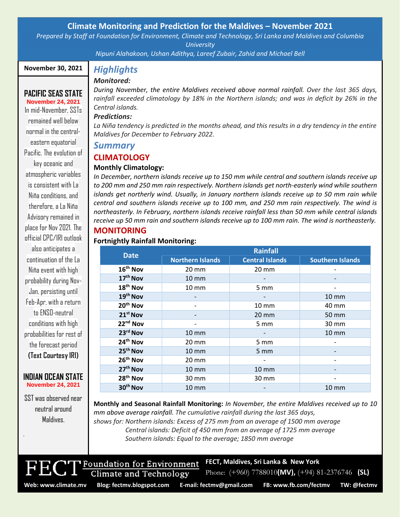## **Climate Monitoring and Prediction for the Maldives – November 2021**

*Prepared by Staff at Foundation for Environment, Climate and Technology, Sri Lanka and Maldives and Columbia University*

*Nipuni Alahakoon, Ushan Adithya, Lareef Zubair, Zahid and Michael Bell*

## **November 30, 2021**

## **PACIFIC SEAS STATE**

**November 24, 2021** In mid-November, SSTs remained well below normal in the centraleastern equatorial Pacific. The evolution of key oceanic and atmospheric variables is consistent with La Niña conditions, and therefore, a La Niña Advisory remained in place for Nov 2021. The official CPC/IRI outlook also anticipates a continuation of the La Niña event with high probability during Nov-Jan, persisting until Feb-Apr, with a return to ENSO-neutral conditions with high probabilities for rest of the forecast period **(Text Courtesy IRI)**

#### **INDIAN OCEAN STATE November 24, 2021**

SST was observed near neutral around Maldives.

.

# *Highlights*

## *Monitored:*

*During November, the entire Maldives received above normal rainfall. Over the last 365 days, rainfall exceeded climatology by 18% in the Northern islands; and was in deficit by 26% in the Central islands.*

## *Predictions:*

La Niña tendency is predicted in the months ahead, and this results in a dry tendency in the entire *Maldives for December to February 2022.*

## *Summary*

## **CLIMATOLOGY**

## **Monthly Climatology:**

*In December, northern islands receive up to 150 mm while central and southern islands receive up to 200 mm and 250 mm rain respectively. Northern islands get north-easterly wind while southern islands get northerly wind. Usually, in January northern islands receive up to 50 mm rain while central and southern islands receive up to 100 mm, and 250 mm rain respectively. The wind is northeasterly. In February, northern islands receive rainfall less than 50 mm while central islands receive up 50 mm rain and southern islands receive up to 100 mm rain. The wind is northeasterly.*

## **MONITORING**

#### **Fortnightly Rainfall Monitoring:**

| <b>Date</b>          | Rainfall                |                        |                         |
|----------------------|-------------------------|------------------------|-------------------------|
|                      | <b>Northern Islands</b> | <b>Central Islands</b> | <b>Southern Islands</b> |
| 16 <sup>th</sup> Nov | $20 \text{ mm}$         | $20 \text{ mm}$        |                         |
| 17 <sup>th</sup> Nov | $10 \text{ mm}$         |                        |                         |
| 18 <sup>th</sup> Nov | $10 \, \text{mm}$       | $5 \, \text{mm}$       |                         |
| 19th Nov             |                         |                        | $10 \text{ mm}$         |
| 20 <sup>th</sup> Nov |                         | $10 \, \text{mm}$      | 40 mm                   |
| 21 <sup>st</sup> Nov |                         | $20 \text{ mm}$        | 50 mm                   |
| 22 <sup>nd</sup> Nov |                         | $5 \, \text{mm}$       | $30 \text{ mm}$         |
| 23rd Nov             | $10 \, \text{mm}$       |                        | $10 \, \text{mm}$       |
| 24 <sup>th</sup> Nov | $20 \text{ mm}$         | 5 mm                   |                         |
| 25 <sup>th</sup> Nov | $10 \, \text{mm}$       | 5 <sub>mm</sub>        |                         |
| 26th Nov             | $20 \, \text{mm}$       |                        |                         |
| 27 <sup>th</sup> Nov | $10 \text{ mm}$         | $10 \, \text{mm}$      |                         |
| 28 <sup>th</sup> Nov | 30 mm                   | 30 mm                  |                         |
| 30 <sup>th</sup> Nov | $10 \text{ mm}$         |                        | $10 \text{ mm}$         |

**Monthly and Seasonal Rainfall Monitoring:** *In November, the entire Maldives received up to 10 mm above average rainfall. The cumulative rainfall during the last 365 days, shows for: Northern islands: Excess of 275 mm from an average of 1500 mm average Central islands: Deficit of 450 mm from an average of 1725 mm average Southern islands: Equal to the average; 1850 mm average*



**FECT, Maldives, Sri Lanka & New York**

Foundation for Environment Climate and Technology

Phone: (+960) 7788010**(MV),** (+94) 81-2376746 **(SL)**

**Web: www.climate.mv Blog[: fectmv.blogspot.com](mailto:fectmv.blogspot.com) E-mail: [fectmv@gmail.com](mailto:fectmv@gmail.com) FB[: www.fb.com/fectmv](http://www.fb.com/fectmv) TW: @fectmv**

Page